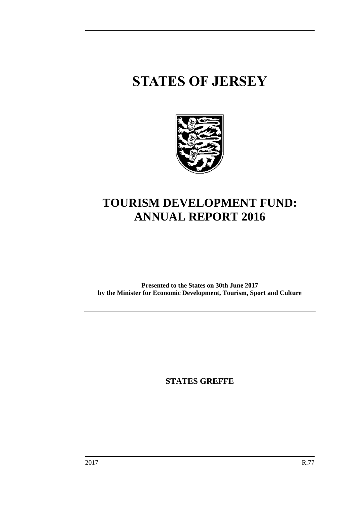# **STATES OF JERSEY**



# **TOURISM DEVELOPMENT FUND: ANNUAL REPORT 2016**

**Presented to the States on 30th June 2017 by the Minister for Economic Development, Tourism, Sport and Culture**

**STATES GREFFE**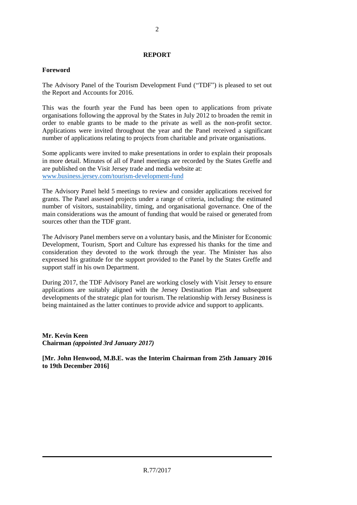#### **REPORT**

#### **Foreword**

The Advisory Panel of the Tourism Development Fund ("TDF") is pleased to set out the Report and Accounts for 2016.

This was the fourth year the Fund has been open to applications from private organisations following the approval by the States in July 2012 to broaden the remit in order to enable grants to be made to the private as well as the non-profit sector. Applications were invited throughout the year and the Panel received a significant number of applications relating to projects from charitable and private organisations.

Some applicants were invited to make presentations in order to explain their proposals in more detail. Minutes of all of Panel meetings are recorded by the States Greffe and are published on the Visit Jersey trade and media website at: [www.business.jersey.com/tourism-development-fund](http://www.business.jersey.com/tourism-development-fund)

The Advisory Panel held 5 meetings to review and consider applications received for grants. The Panel assessed projects under a range of criteria, including: the estimated number of visitors, sustainability, timing, and organisational governance. One of the main considerations was the amount of funding that would be raised or generated from sources other than the TDF grant.

The Advisory Panel members serve on a voluntary basis, and the Minister for Economic Development, Tourism, Sport and Culture has expressed his thanks for the time and consideration they devoted to the work through the year. The Minister has also expressed his gratitude for the support provided to the Panel by the States Greffe and support staff in his own Department.

During 2017, the TDF Advisory Panel are working closely with Visit Jersey to ensure applications are suitably aligned with the Jersey Destination Plan and subsequent developments of the strategic plan for tourism. The relationship with Jersey Business is being maintained as the latter continues to provide advice and support to applicants.

**Mr. Kevin Keen Chairman** *(appointed 3rd January 2017)*

**[Mr. John Henwood, M.B.E. was the Interim Chairman from 25th January 2016 to 19th December 2016]**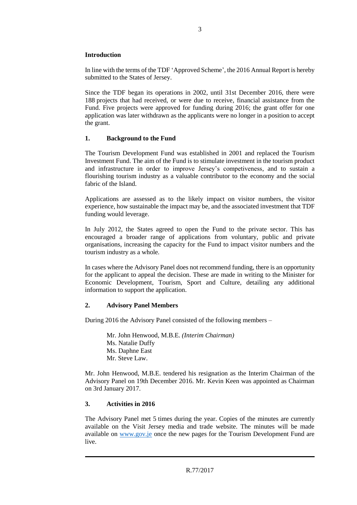#### **Introduction**

In line with the terms of the TDF 'Approved Scheme', the 2016 Annual Report is hereby submitted to the States of Jersey.

Since the TDF began its operations in 2002, until 31st December 2016, there were 188 projects that had received, or were due to receive, financial assistance from the Fund. Five projects were approved for funding during 2016; the grant offer for one application was later withdrawn as the applicants were no longer in a position to accept the grant.

#### **1. Background to the Fund**

The Tourism Development Fund was established in 2001 and replaced the Tourism Investment Fund. The aim of the Fund is to stimulate investment in the tourism product and infrastructure in order to improve Jersey's competiveness, and to sustain a flourishing tourism industry as a valuable contributor to the economy and the social fabric of the Island.

Applications are assessed as to the likely impact on visitor numbers, the visitor experience, how sustainable the impact may be, and the associated investment that TDF funding would leverage.

In July 2012, the States agreed to open the Fund to the private sector. This has encouraged a broader range of applications from voluntary, public and private organisations, increasing the capacity for the Fund to impact visitor numbers and the tourism industry as a whole.

In cases where the Advisory Panel does not recommend funding, there is an opportunity for the applicant to appeal the decision. These are made in writing to the Minister for Economic Development, Tourism, Sport and Culture, detailing any additional information to support the application.

#### **2. Advisory Panel Members**

During 2016 the Advisory Panel consisted of the following members –

Mr. John Henwood, M.B.E. *(Interim Chairman)* Ms. Natalie Duffy Ms. Daphne East Mr. Steve Law.

Mr. John Henwood, M.B.E. tendered his resignation as the Interim Chairman of the Advisory Panel on 19th December 2016. Mr. Kevin Keen was appointed as Chairman on 3rd January 2017.

#### **3. Activities in 2016**

The Advisory Panel met 5 times during the year. Copies of the minutes are currently available on the Visit Jersey media and trade website. The minutes will be made available on [www.gov.je](http://www.gov.je/) once the new pages for the Tourism Development Fund are live.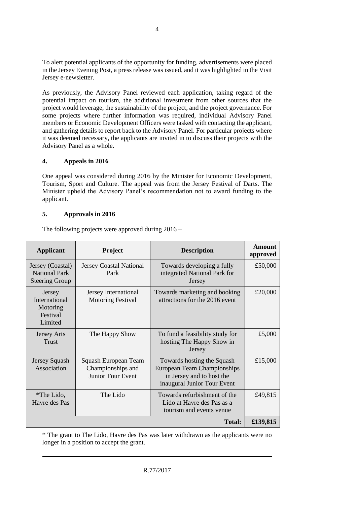To alert potential applicants of the opportunity for funding, advertisements were placed in the Jersey Evening Post, a press release was issued, and it was highlighted in the Visit Jersey e-newsletter.

As previously, the Advisory Panel reviewed each application, taking regard of the potential impact on tourism, the additional investment from other sources that the project would leverage, the sustainability of the project, and the project governance. For some projects where further information was required, individual Advisory Panel members or Economic Development Officers were tasked with contacting the applicant, and gathering details to report back to the Advisory Panel. For particular projects where it was deemed necessary, the applicants are invited in to discuss their projects with the Advisory Panel as a whole.

#### **4. Appeals in 2016**

One appeal was considered during 2016 by the Minister for Economic Development, Tourism, Sport and Culture. The appeal was from the Jersey Festival of Darts. The Minister upheld the Advisory Panel's recommendation not to award funding to the applicant.

#### **5. Approvals in 2016**

The following projects were approved during 2016 –

| <b>Applicant</b>                                                  | <b>Project</b>                                                        | <b>Description</b>                                                                                                           | <b>Amount</b><br>approved |
|-------------------------------------------------------------------|-----------------------------------------------------------------------|------------------------------------------------------------------------------------------------------------------------------|---------------------------|
| Jersey (Coastal)<br><b>National Park</b><br><b>Steering Group</b> | <b>Jersey Coastal National</b><br>Park                                | Towards developing a fully<br>integrated National Park for<br>Jersey                                                         | £50,000                   |
| Jersey<br>International<br>Motoring<br>Festival<br>Limited        | Jersey International<br><b>Motoring Festival</b>                      | Towards marketing and booking<br>attractions for the 2016 event                                                              | £20,000                   |
| <b>Jersey Arts</b><br><b>Trust</b>                                | The Happy Show                                                        | To fund a feasibility study for<br>hosting The Happy Show in<br>Jersey                                                       | £5,000                    |
| Jersey Squash<br>Association                                      | Squash European Team<br>Championships and<br><b>Junior Tour Event</b> | Towards hosting the Squash<br><b>European Team Championships</b><br>in Jersey and to host the<br>inaugural Junior Tour Event | £15,000                   |
| *The Lido,<br>Havre des Pas                                       | The Lido                                                              | Towards refurbishment of the<br>Lido at Havre des Pas as a<br>tourism and events venue                                       | £49,815                   |
|                                                                   |                                                                       | <b>Total:</b>                                                                                                                | £139,815                  |

\* The grant to The Lido, Havre des Pas was later withdrawn as the applicants were no longer in a position to accept the grant.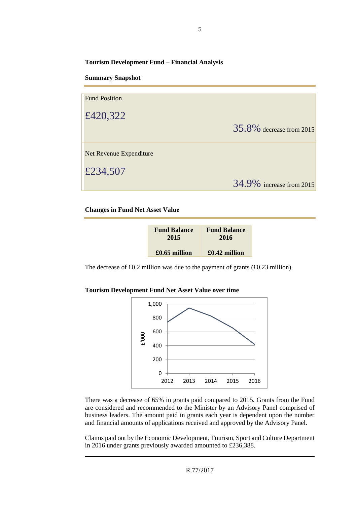**Tourism Development Fund – Financial Analysis**

**Summary Snapshot**

| <b>Fund Position</b>    |                             |
|-------------------------|-----------------------------|
| £420,322                |                             |
|                         | $35.8\%$ decrease from 2015 |
| Net Revenue Expenditure |                             |
| £234,507                |                             |
|                         | 34.9% increase from 2015    |

**Changes in Fund Net Asset Value**

| <b>Fund Balance</b> | <b>Fund Balance</b> |  |  |
|---------------------|---------------------|--|--|
| 2015                | 2016                |  |  |
| £0.65 million       | $£0.42$ million     |  |  |

The decrease of £0.2 million was due to the payment of grants (£0.23 million).

|  |  |  |  | <b>Tourism Development Fund Net Asset Value over time</b> |  |  |  |
|--|--|--|--|-----------------------------------------------------------|--|--|--|
|--|--|--|--|-----------------------------------------------------------|--|--|--|



There was a decrease of 65% in grants paid compared to 2015. Grants from the Fund are considered and recommended to the Minister by an Advisory Panel comprised of business leaders. The amount paid in grants each year is dependent upon the number and financial amounts of applications received and approved by the Advisory Panel.

Claims paid out by the Economic Development, Tourism, Sport and Culture Department in 2016 under grants previously awarded amounted to £236,388.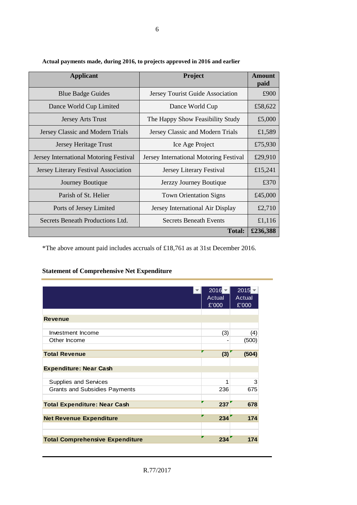| <b>Applicant</b>                       | <b>Project</b>                         | <b>Amount</b><br>paid |
|----------------------------------------|----------------------------------------|-----------------------|
| <b>Blue Badge Guides</b>               | Jersey Tourist Guide Association       | £900                  |
| Dance World Cup Limited                | Dance World Cup                        | £58,622               |
| <b>Jersey Arts Trust</b>               | The Happy Show Feasibility Study       | £5,000                |
| Jersey Classic and Modern Trials       | Jersey Classic and Modern Trials       | £1,589                |
| Jersey Heritage Trust                  | Ice Age Project                        | £75,930               |
| Jersey International Motoring Festival | Jersey International Motoring Festival | £29,910               |
| Jersey Literary Festival Association   | Jersey Literary Festival               | £15,241               |
| Journey Boutique                       | Jerzzy Journey Boutique                | £370                  |
| Parish of St. Helier                   | <b>Town Orientation Signs</b>          | £45,000               |
| Ports of Jersey Limited                | Jersey International Air Display       | £2,710                |
| Secrets Beneath Productions Ltd.       | <b>Secrets Beneath Events</b>          | £1,116                |
|                                        | <b>Total:</b>                          | £236,388              |

**Actual payments made, during 2016, to projects approved in 2016 and earlier**

\*The above amount paid includes accruals of £18,761 as at 31st December 2016.

### **Statement of Comprehensive Net Expenditure**

|                                        | $2016 -$<br>Actual<br>£'000 | $2015 -$<br>Actual<br>£'000 |
|----------------------------------------|-----------------------------|-----------------------------|
| <b>Revenue</b>                         |                             |                             |
| Investment Income                      | (3)                         | (4)                         |
| Other Income                           |                             | (500)                       |
| <b>Total Revenue</b>                   | (3)                         | (504)                       |
| <b>Expenditure: Near Cash</b>          |                             |                             |
| <b>Supplies and Services</b>           | 1                           | 3                           |
| <b>Grants and Subsidies Payments</b>   | 236                         | 675                         |
| <b>Total Expenditure: Near Cash</b>    | 237                         | 678                         |
| <b>Net Revenue Expenditure</b>         | 234                         | 174                         |
| <b>Total Comprehensive Expenditure</b> | г<br>234                    | 174                         |